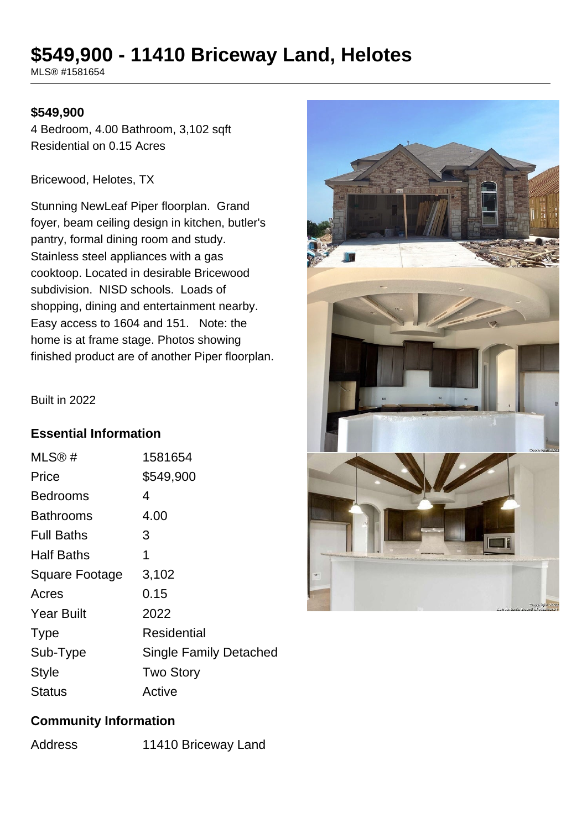# **\$549,900 - 11410 Briceway Land, Helotes**

MLS® #1581654

#### **\$549,900**

4 Bedroom, 4.00 Bathroom, 3,102 sqft Residential on 0.15 Acres

Bricewood, Helotes, TX

Stunning NewLeaf Piper floorplan. Grand foyer, beam ceiling design in kitchen, butler's pantry, formal dining room and study. Stainless steel appliances with a gas cooktoop. Located in desirable Bricewood subdivision. NISD schools. Loads of shopping, dining and entertainment nearby. Easy access to 1604 and 151. Note: the home is at frame stage. Photos showing finished product are of another Piper floorplan.



#### Built in 2022

#### **Essential Information**

| MLS@#             | 1581654                       |
|-------------------|-------------------------------|
| Price             | \$549,900                     |
| Bedrooms          | 4                             |
| Bathrooms         | 4.00                          |
| <b>Full Baths</b> | 3                             |
| <b>Half Baths</b> | 1                             |
| Square Footage    | 3,102                         |
| Acres             | 0.15                          |
| <b>Year Built</b> | 2022                          |
| <b>Type</b>       | Residential                   |
| Sub-Type          | <b>Single Family Detached</b> |
| <b>Style</b>      | <b>Two Story</b>              |
| Status            | Active                        |

## **Community Information**

| Address | 11410 Briceway Land |
|---------|---------------------|
|         |                     |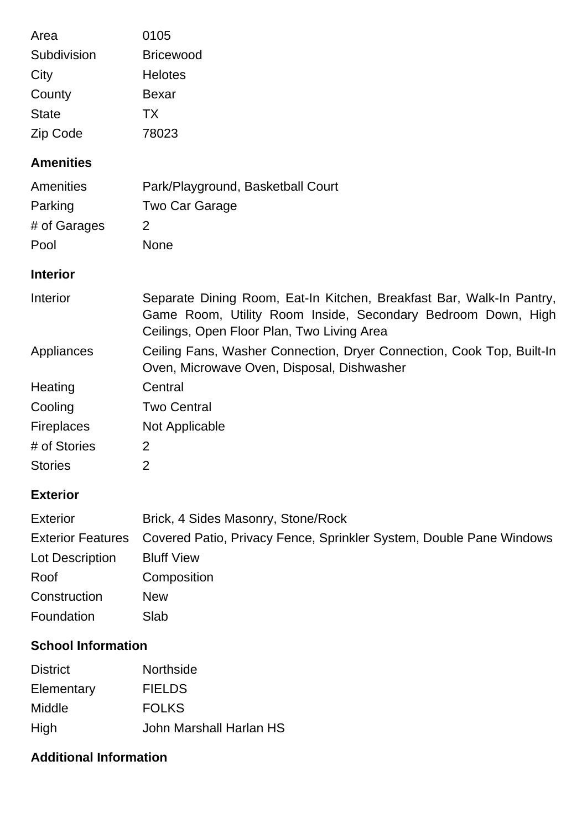| Area<br>Subdivision<br>City<br>County<br><b>State</b><br>Zip Code | 0105<br><b>Bricewood</b><br><b>Helotes</b><br><b>Bexar</b><br><b>TX</b><br>78023                                                                                                   |  |
|-------------------------------------------------------------------|------------------------------------------------------------------------------------------------------------------------------------------------------------------------------------|--|
| <b>Amenities</b>                                                  |                                                                                                                                                                                    |  |
| Amenities<br>Parking<br># of Garages<br>Pool                      | Park/Playground, Basketball Court<br>Two Car Garage<br>$\overline{2}$<br><b>None</b>                                                                                               |  |
| <b>Interior</b>                                                   |                                                                                                                                                                                    |  |
| Interior                                                          | Separate Dining Room, Eat-In Kitchen, Breakfast Bar, Walk-In Pantry,<br>Game Room, Utility Room Inside, Secondary Bedroom Down, High<br>Ceilings, Open Floor Plan, Two Living Area |  |
| Appliances                                                        | Ceiling Fans, Washer Connection, Dryer Connection, Cook Top, Built-In<br>Oven, Microwave Oven, Disposal, Dishwasher                                                                |  |
| Heating                                                           | Central                                                                                                                                                                            |  |
| Cooling                                                           | <b>Two Central</b>                                                                                                                                                                 |  |
| Fireplaces                                                        | Not Applicable                                                                                                                                                                     |  |
| # of Stories                                                      | 2                                                                                                                                                                                  |  |
| <b>Stories</b>                                                    | 2                                                                                                                                                                                  |  |
| <b>Exterior</b>                                                   |                                                                                                                                                                                    |  |
| <b>Exterior</b>                                                   | Brick, 4 Sides Masonry, Stone/Rock                                                                                                                                                 |  |
| <b>Exterior Features</b>                                          | Covered Patio, Privacy Fence, Sprinkler System, Double Pane Windows                                                                                                                |  |
| Lot Description                                                   | <b>Bluff View</b>                                                                                                                                                                  |  |
| Roof                                                              | Composition                                                                                                                                                                        |  |
| Construction                                                      | <b>New</b>                                                                                                                                                                         |  |
| Foundation                                                        | Slab                                                                                                                                                                               |  |
| <b>School Information</b>                                         |                                                                                                                                                                                    |  |
| <b>District</b>                                                   | Northside                                                                                                                                                                          |  |
| Elementary                                                        | <b>FIELDS</b>                                                                                                                                                                      |  |
| Middle                                                            | <b>FOLKS</b>                                                                                                                                                                       |  |

High John Marshall Harlan HS

## **Additional Information**